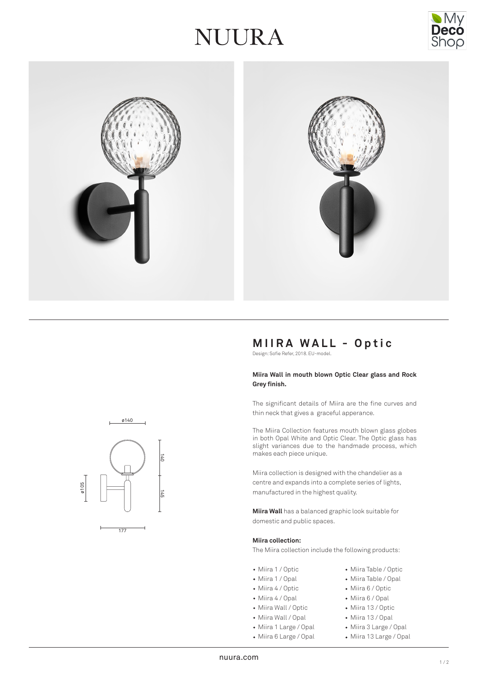## VUURA





## **MIIRA WALL - Optic**

Design: Sofie Refer, 2018. EU-model.

#### **Miira Wall in mouth blown Optic Clear glass and Rock Grey finish.**

The significant details of Miira are the fine curves and thin neck that gives a graceful apperance.

The Miira Collection features mouth blown glass globes in both Opal White and Optic Clear. The Optic glass has slight variances due to the handmade process, which makes each piece unique.

Miira collection is designed with the chandelier as a centre and expands into a complete series of lights, manufactured in the highest quality.

**Miira Wall** has a balanced graphic look suitable for domestic and public spaces.

#### **Miira collection:**

The Miira collection include the following products:

- Miira 1 / Optic **Miira Table / Optic**
- Miira 1 / Opal Miira Table / Opal
- Miira 4 / Optic Miira 6 / Optic
- Miira 4 / Opal Miira 6 / Opal
- Miira Wall / Optic Miira 13 / Optic
- Miira Wall / Opal Miira 13 / Opal
- Miira 1 Large / Opal Miira 3 Large / Opal
- Miira 6 Large / Opal Miira 13 Large / Opal
- -





177